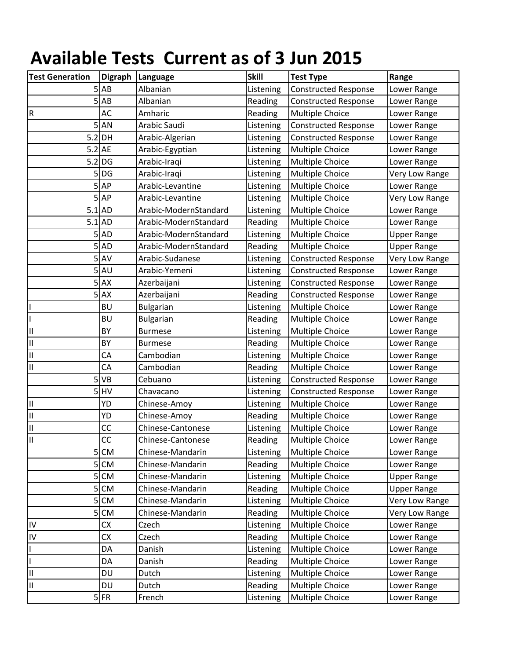## **Available Tests Current as of 3 Jun 2015**

| <b>Test Generation</b>  | <b>Digraph</b>    | Language              | <b>Skill</b> | <b>Test Type</b>            | Range              |
|-------------------------|-------------------|-----------------------|--------------|-----------------------------|--------------------|
|                         | $5$ $AB$          | Albanian              | Listening    | <b>Constructed Response</b> | Lower Range        |
| 5                       | AB                | Albanian              | Reading      | <b>Constructed Response</b> | Lower Range        |
| $\overline{\mathsf{R}}$ | AC                | Amharic               | Reading      | <b>Multiple Choice</b>      | Lower Range        |
| 5                       | <b>AN</b>         | Arabic Saudi          | Listening    | <b>Constructed Response</b> | Lower Range        |
|                         | $5.2$ DH          | Arabic-Algerian       | Listening    | <b>Constructed Response</b> | Lower Range        |
| $5.2$ AE                |                   | Arabic-Egyptian       | Listening    | <b>Multiple Choice</b>      | Lower Range        |
|                         | $5.2$ DG          | Arabic-Iraqi          | Listening    | Multiple Choice             | Lower Range        |
| 5                       | <b>DG</b>         | Arabic-Iraqi          | Listening    | Multiple Choice             | Very Low Range     |
| 5                       | <b>AP</b>         | Arabic-Levantine      | Listening    | Multiple Choice             | Lower Range        |
| 5                       | AP                | Arabic-Levantine      | Listening    | Multiple Choice             | Very Low Range     |
| $5.1$ AD                |                   | Arabic-ModernStandard | Listening    | Multiple Choice             | Lower Range        |
| $5.1$ AD                |                   | Arabic-ModernStandard | Reading      | Multiple Choice             | Lower Range        |
|                         | $5$ AD            | Arabic-ModernStandard | Listening    | Multiple Choice             | <b>Upper Range</b> |
| 5                       | <b>AD</b>         | Arabic-ModernStandard | Reading      | Multiple Choice             | <b>Upper Range</b> |
|                         | $5$ <sup>AV</sup> | Arabic-Sudanese       | Listening    | <b>Constructed Response</b> | Very Low Range     |
|                         | $5$ AU            | Arabic-Yemeni         | Listening    | <b>Constructed Response</b> | Lower Range        |
| 5                       | <b>AX</b>         | Azerbaijani           | Listening    | <b>Constructed Response</b> | Lower Range        |
| 5                       | <b>AX</b>         | Azerbaijani           | Reading      | <b>Constructed Response</b> | Lower Range        |
|                         | <b>BU</b>         | <b>Bulgarian</b>      | Listening    | <b>Multiple Choice</b>      | Lower Range        |
|                         | <b>BU</b>         | <b>Bulgarian</b>      | Reading      | Multiple Choice             | Lower Range        |
| II                      | BY                | <b>Burmese</b>        | Listening    | Multiple Choice             | Lower Range        |
| Ш                       | BY                | <b>Burmese</b>        | Reading      | <b>Multiple Choice</b>      | Lower Range        |
| Ш                       | CA                | Cambodian             | Listening    | <b>Multiple Choice</b>      | Lower Range        |
| Ш                       | CA                | Cambodian             | Reading      | Multiple Choice             | Lower Range        |
| 5                       | VB                | Cebuano               | Listening    | <b>Constructed Response</b> | Lower Range        |
| 5                       | HV                | Chavacano             | Listening    | <b>Constructed Response</b> | Lower Range        |
| $\rm H$                 | YD                | Chinese-Amoy          | Listening    | Multiple Choice             | Lower Range        |
| $\rm H$                 | YD                | Chinese-Amoy          | Reading      | Multiple Choice             | Lower Range        |
| $\vert \vert$           | CC                | Chinese-Cantonese     | Listening    | Multiple Choice             | Lower Range        |
| $\mathbf{II}$           | CC                | Chinese-Cantonese     | Reading      | Multiple Choice             | Lower Range        |
| 5                       | <b>CM</b>         | Chinese-Mandarin      | Listening    | <b>Multiple Choice</b>      | Lower Range        |
| 5                       | <b>CM</b>         | Chinese-Mandarin      | Reading      | Multiple Choice             | Lower Range        |
| 5                       | CM                | Chinese-Mandarin      | Listening    | Multiple Choice             | <b>Upper Range</b> |
| 5                       | <b>CM</b>         | Chinese-Mandarin      | Reading      | Multiple Choice             | <b>Upper Range</b> |
| 5                       | <b>CM</b>         | Chinese-Mandarin      | Listening    | Multiple Choice             | Very Low Range     |
| 5                       | <b>CM</b>         | Chinese-Mandarin      | Reading      | Multiple Choice             | Very Low Range     |
| IV                      | CX                | Czech                 | Listening    | <b>Multiple Choice</b>      | Lower Range        |
| IV                      | CX                | Czech                 | Reading      | Multiple Choice             | Lower Range        |
| I                       | DA                | Danish                | Listening    | <b>Multiple Choice</b>      | Lower Range        |
| $\overline{1}$          | DA                | Danish                | Reading      | Multiple Choice             | Lower Range        |
| Ш                       | DU                | Dutch                 | Listening    | Multiple Choice             | Lower Range        |
| Ш                       | DU                | Dutch                 | Reading      | Multiple Choice             | Lower Range        |
|                         | $5$ FR            | French                | Listening    | Multiple Choice             | Lower Range        |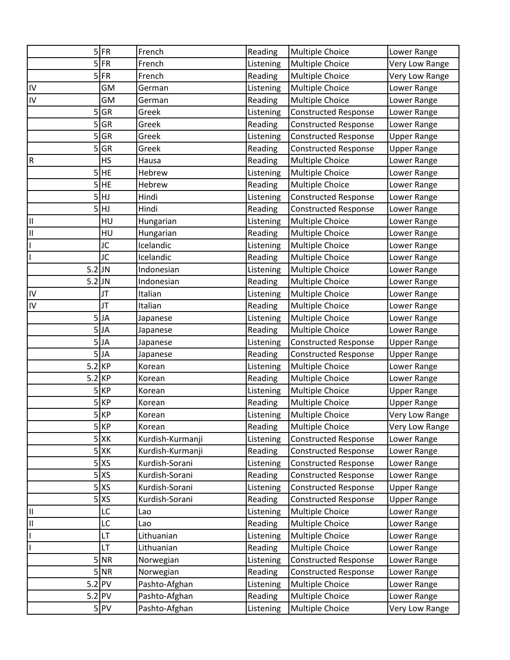|                         | $5$ FR            | French           | Reading   | <b>Multiple Choice</b>      | Lower Range        |
|-------------------------|-------------------|------------------|-----------|-----------------------------|--------------------|
|                         | $5$ FR            | French           | Listening | <b>Multiple Choice</b>      | Very Low Range     |
| 5                       | <b>FR</b>         | French           | Reading   | Multiple Choice             | Very Low Range     |
| IV                      | GM                | German           | Listening | <b>Multiple Choice</b>      | Lower Range        |
| IV                      | GM                | German           | Reading   | Multiple Choice             | Lower Range        |
| 5                       | GR                | Greek            | Listening | <b>Constructed Response</b> | Lower Range        |
| 5                       | <b>GR</b>         | Greek            | Reading   | <b>Constructed Response</b> | Lower Range        |
| 5                       | GR                | Greek            | Listening | <b>Constructed Response</b> | <b>Upper Range</b> |
| 5                       | <b>GR</b>         | Greek            | Reading   | <b>Constructed Response</b> | <b>Upper Range</b> |
| $\mathsf R$             | HS                | Hausa            | Reading   | Multiple Choice             | Lower Range        |
| 5                       | <b>HE</b>         | Hebrew           | Listening | <b>Multiple Choice</b>      | Lower Range        |
| 5                       | <b>HE</b>         | Hebrew           | Reading   | Multiple Choice             | Lower Range        |
|                         | 5HJ               | Hindi            | Listening | <b>Constructed Response</b> | Lower Range        |
|                         | 5HJ               | Hindi            | Reading   | <b>Constructed Response</b> | Lower Range        |
| $\mathsf{II}%$          | HU                | Hungarian        | Listening | Multiple Choice             | Lower Range        |
| $\overline{\mathsf{I}}$ | HU                | Hungarian        | Reading   | Multiple Choice             | Lower Range        |
|                         | JC                | Icelandic        | Listening | Multiple Choice             | Lower Range        |
|                         | JC                | Icelandic        | Reading   | Multiple Choice             | Lower Range        |
|                         | $5.2$ JN          | Indonesian       | Listening | <b>Multiple Choice</b>      | Lower Range        |
|                         | $5.2$ JN          | Indonesian       | Reading   | Multiple Choice             | Lower Range        |
| IV                      | JT                | Italian          | Listening | <b>Multiple Choice</b>      | Lower Range        |
| $\overline{N}$          | JT                | Italian          | Reading   | Multiple Choice             | Lower Range        |
| 5                       | JA                | Japanese         | Listening | Multiple Choice             | Lower Range        |
|                         | $5$ JA            | Japanese         | Reading   | Multiple Choice             | Lower Range        |
|                         | $5$ JA            | Japanese         | Listening | <b>Constructed Response</b> | <b>Upper Range</b> |
|                         | $5$ JA            | Japanese         | Reading   | <b>Constructed Response</b> | <b>Upper Range</b> |
|                         | $5.2$ KP          | Korean           | Listening | Multiple Choice             | Lower Range        |
|                         | $5.2$ KP          | Korean           | Reading   | Multiple Choice             | Lower Range        |
|                         | $5$ KP            | Korean           | Listening | Multiple Choice             | <b>Upper Range</b> |
|                         | $5$ <sub>KP</sub> | Korean           | Reading   | Multiple Choice             | <b>Upper Range</b> |
|                         | $5$ KP            | Korean           | Listening | <b>Multiple Choice</b>      | Very Low Range     |
|                         | $5$ <sub>KP</sub> | Korean           | Reading   | <b>Multiple Choice</b>      | Very Low Range     |
|                         | $5$ XK            | Kurdish-Kurmanji | Listening | <b>Constructed Response</b> | Lower Range        |
|                         | $5$ XK            | Kurdish-Kurmanji | Reading   | <b>Constructed Response</b> | Lower Range        |
|                         | $5$ XS            | Kurdish-Sorani   | Listening | <b>Constructed Response</b> | Lower Range        |
|                         | $5$ XS            | Kurdish-Sorani   | Reading   | <b>Constructed Response</b> | Lower Range        |
|                         | $5$ XS            | Kurdish-Sorani   | Listening | <b>Constructed Response</b> | <b>Upper Range</b> |
|                         | $5$ $X$           | Kurdish-Sorani   | Reading   | <b>Constructed Response</b> | <b>Upper Range</b> |
| $\mathsf{II}%$          | LC                | Lao              | Listening | <b>Multiple Choice</b>      | Lower Range        |
| $=$ $\frac{1}{2}$       | LC                | Lao              | Reading   | Multiple Choice             | Lower Range        |
|                         | LT                | Lithuanian       | Listening | Multiple Choice             | Lower Range        |
|                         | LT                | Lithuanian       | Reading   | Multiple Choice             | Lower Range        |
|                         | $5$ NR            | Norwegian        | Listening | <b>Constructed Response</b> | Lower Range        |
|                         | $5$ NR            | Norwegian        | Reading   | Constructed Response        | Lower Range        |
|                         | $5.2$ PV          | Pashto-Afghan    | Listening | Multiple Choice             | Lower Range        |
|                         | $5.2$ PV          | Pashto-Afghan    | Reading   | Multiple Choice             | Lower Range        |
|                         | $5$ PV            | Pashto-Afghan    | Listening | Multiple Choice             | Very Low Range     |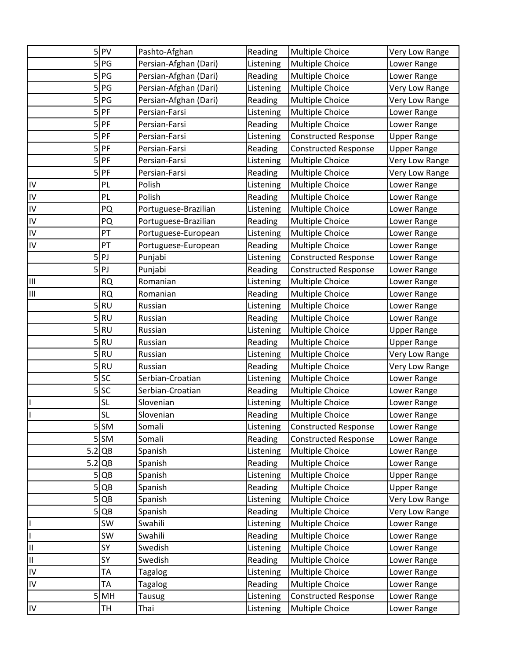|                         | $5$  PV   | Pashto-Afghan         | Reading   | <b>Multiple Choice</b>      | Very Low Range     |
|-------------------------|-----------|-----------------------|-----------|-----------------------------|--------------------|
|                         | 5 PG      | Persian-Afghan (Dari) | Listening | Multiple Choice             | Lower Range        |
| 5                       | PG        | Persian-Afghan (Dari) | Reading   | Multiple Choice             | Lower Range        |
| 5                       | PG        | Persian-Afghan (Dari) | Listening | Multiple Choice             | Very Low Range     |
| 5                       | PG        | Persian-Afghan (Dari) | Reading   | Multiple Choice             | Very Low Range     |
| 5                       | PF        | Persian-Farsi         | Listening | <b>Multiple Choice</b>      | Lower Range        |
|                         | $5$ $PF$  | Persian-Farsi         | Reading   | <b>Multiple Choice</b>      | Lower Range        |
| 5                       | PF        | Persian-Farsi         | Listening | <b>Constructed Response</b> | <b>Upper Range</b> |
| 5                       | PF        | Persian-Farsi         | Reading   | <b>Constructed Response</b> | <b>Upper Range</b> |
| 5                       | PF        | Persian-Farsi         | Listening | Multiple Choice             | Very Low Range     |
| 5                       | PF        | Persian-Farsi         | Reading   | <b>Multiple Choice</b>      | Very Low Range     |
| IV                      | PL        | Polish                | Listening | Multiple Choice             | Lower Range        |
| $\overline{N}$          | PL        | Polish                | Reading   | Multiple Choice             | Lower Range        |
| $\frac{1}{2}$           | PQ        | Portuguese-Brazilian  | Listening | <b>Multiple Choice</b>      | Lower Range        |
|                         | PQ        | Portuguese-Brazilian  | Reading   | Multiple Choice             | Lower Range        |
| $\overline{N}$          | PT        | Portuguese-European   | Listening | <b>Multiple Choice</b>      | Lower Range        |
| IV                      | PT        | Portuguese-European   | Reading   | Multiple Choice             | Lower Range        |
| 5                       | PJ        | Punjabi               | Listening | <b>Constructed Response</b> | Lower Range        |
| 5                       | PJ        | Punjabi               | Reading   | <b>Constructed Response</b> | Lower Range        |
| Ш                       | <b>RQ</b> | Romanian              | Listening | Multiple Choice             | Lower Range        |
| $\mathsf{III}$          | <b>RQ</b> | Romanian              | Reading   | <b>Multiple Choice</b>      | Lower Range        |
| 5                       | <b>RU</b> | Russian               | Listening | Multiple Choice             | Lower Range        |
|                         | $5$ RU    | Russian               | Reading   | Multiple Choice             | Lower Range        |
| 5                       | <b>RU</b> | Russian               | Listening | Multiple Choice             | <b>Upper Range</b> |
| 5                       | <b>RU</b> | Russian               | Reading   | <b>Multiple Choice</b>      | <b>Upper Range</b> |
|                         | $5$ RU    | Russian               | Listening | Multiple Choice             | Very Low Range     |
| 5                       | <b>RU</b> | Russian               | Reading   | Multiple Choice             | Very Low Range     |
|                         | $5$ SC    | Serbian-Croatian      | Listening | <b>Multiple Choice</b>      | Lower Range        |
| 5                       | <b>SC</b> | Serbian-Croatian      | Reading   | Multiple Choice             | Lower Range        |
|                         | <b>SL</b> | Slovenian             | Listening | Multiple Choice             | Lower Range        |
|                         | <b>SL</b> | Slovenian             | Reading   | Multiple Choice             | Lower Range        |
|                         | $5$ SM    | Somali                | Listening | <b>Constructed Response</b> | Lower Range        |
|                         | 5 SM      | Somali                | Reading   | <b>Constructed Response</b> | Lower Range        |
|                         | $5.2$ QB  | Spanish               | Listening | Multiple Choice             | Lower Range        |
|                         | $5.2$ QB  | Spanish               | Reading   | Multiple Choice             | Lower Range        |
|                         | 5 QB      | Spanish               | Listening | Multiple Choice             | <b>Upper Range</b> |
| 5                       | QB        | Spanish               | Reading   | Multiple Choice             | <b>Upper Range</b> |
| 5                       | QB        | Spanish               | Listening | Multiple Choice             | Very Low Range     |
|                         | 5 QB      | Spanish               | Reading   | Multiple Choice             | Very Low Range     |
| $\frac{1}{1}$           | SW        | Swahili               | Listening | Multiple Choice             | Lower Range        |
|                         | SW        | Swahili               | Reading   | Multiple Choice             | Lower Range        |
| $=$ $=$                 | SY        | Swedish               | Listening | Multiple Choice             | Lower Range        |
|                         | SY        | Swedish               | Reading   | Multiple Choice             | Lower Range        |
| $\overline{N}$          | TA        | <b>Tagalog</b>        | Listening | <b>Multiple Choice</b>      | Lower Range        |
| $\overline{\mathsf{N}}$ | TA        | <b>Tagalog</b>        | Reading   | Multiple Choice             | Lower Range        |
| 5                       | MH        | Tausug                | Listening | <b>Constructed Response</b> | Lower Range        |
| $\overline{N}$          | TH        | Thai                  | Listening | Multiple Choice             | Lower Range        |